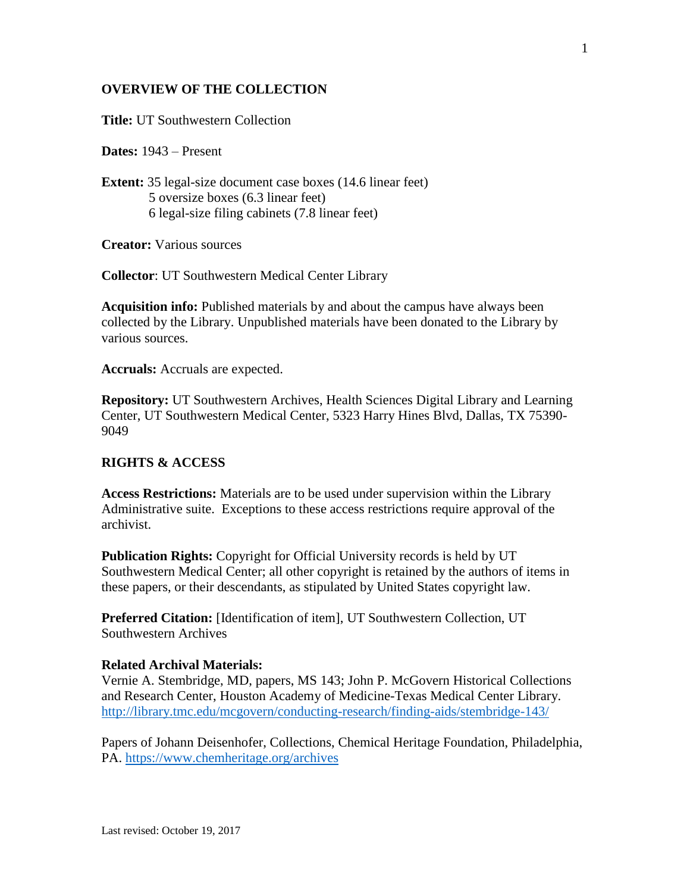#### **OVERVIEW OF THE COLLECTION**

**Title:** UT Southwestern Collection

**Dates:** 1943 – Present

**Extent:** 35 legal-size document case boxes (14.6 linear feet) 5 oversize boxes (6.3 linear feet) 6 legal-size filing cabinets (7.8 linear feet)

**Creator:** Various sources

**Collector**: UT Southwestern Medical Center Library

**Acquisition info:** Published materials by and about the campus have always been collected by the Library. Unpublished materials have been donated to the Library by various sources.

**Accruals:** Accruals are expected.

**Repository:** UT Southwestern Archives, Health Sciences Digital Library and Learning Center, UT Southwestern Medical Center, 5323 Harry Hines Blvd, Dallas, TX 75390- 9049

#### **RIGHTS & ACCESS**

**Access Restrictions:** Materials are to be used under supervision within the Library Administrative suite. Exceptions to these access restrictions require approval of the archivist.

**Publication Rights:** Copyright for Official University records is held by UT Southwestern Medical Center; all other copyright is retained by the authors of items in these papers, or their descendants, as stipulated by United States copyright law.

**Preferred Citation:** [Identification of item], UT Southwestern Collection, UT Southwestern Archives

#### **Related Archival Materials:**

Vernie A. Stembridge, MD, papers, MS 143; John P. McGovern Historical Collections and Research Center, Houston Academy of Medicine-Texas Medical Center Library. <http://library.tmc.edu/mcgovern/conducting-research/finding-aids/stembridge-143/>

Papers of Johann Deisenhofer, Collections, Chemical Heritage Foundation, Philadelphia, PA.<https://www.chemheritage.org/archives>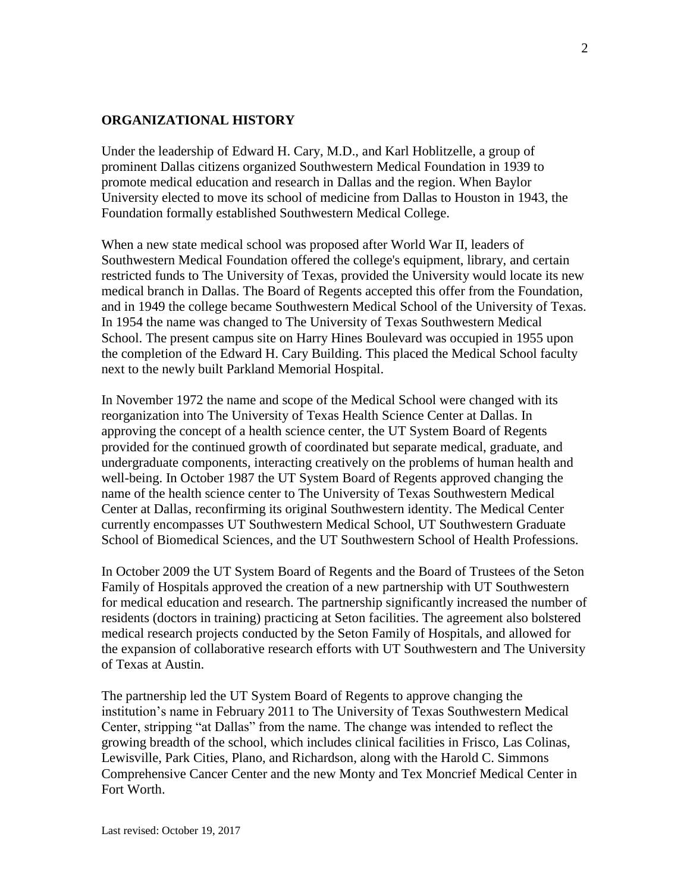#### **ORGANIZATIONAL HISTORY**

Under the leadership of Edward H. Cary, M.D., and Karl Hoblitzelle, a group of prominent Dallas citizens organized Southwestern Medical Foundation in 1939 to promote medical education and research in Dallas and the region. When Baylor University elected to move its school of medicine from Dallas to Houston in 1943, the Foundation formally established Southwestern Medical College.

When a new state medical school was proposed after World War II, leaders of Southwestern Medical Foundation offered the college's equipment, library, and certain restricted funds to The University of Texas, provided the University would locate its new medical branch in Dallas. The Board of Regents accepted this offer from the Foundation, and in 1949 the college became Southwestern Medical School of the University of Texas. In 1954 the name was changed to The University of Texas Southwestern Medical School. The present campus site on Harry Hines Boulevard was occupied in 1955 upon the completion of the Edward H. Cary Building. This placed the Medical School faculty next to the newly built Parkland Memorial Hospital.

In November 1972 the name and scope of the Medical School were changed with its reorganization into The University of Texas Health Science Center at Dallas. In approving the concept of a health science center, the UT System Board of Regents provided for the continued growth of coordinated but separate medical, graduate, and undergraduate components, interacting creatively on the problems of human health and well-being. In October 1987 the UT System Board of Regents approved changing the name of the health science center to The University of Texas Southwestern Medical Center at Dallas, reconfirming its original Southwestern identity. The Medical Center currently encompasses UT Southwestern Medical School, UT Southwestern Graduate School of Biomedical Sciences, and the UT Southwestern School of Health Professions.

In October 2009 the UT System Board of Regents and the Board of Trustees of the Seton Family of Hospitals approved the creation of a new partnership with UT Southwestern for medical education and research. The partnership significantly increased the number of residents (doctors in training) practicing at Seton facilities. The agreement also bolstered medical research projects conducted by the Seton Family of Hospitals, and allowed for the expansion of collaborative research efforts with UT Southwestern and The University of Texas at Austin.

The partnership led the UT System Board of Regents to approve changing the institution's name in February 2011 to The University of Texas Southwestern Medical Center, stripping "at Dallas" from the name. The change was intended to reflect the growing breadth of the school, which includes clinical facilities in Frisco, Las Colinas, Lewisville, Park Cities, Plano, and Richardson, along with the Harold C. Simmons Comprehensive Cancer Center and the new Monty and Tex Moncrief Medical Center in Fort Worth.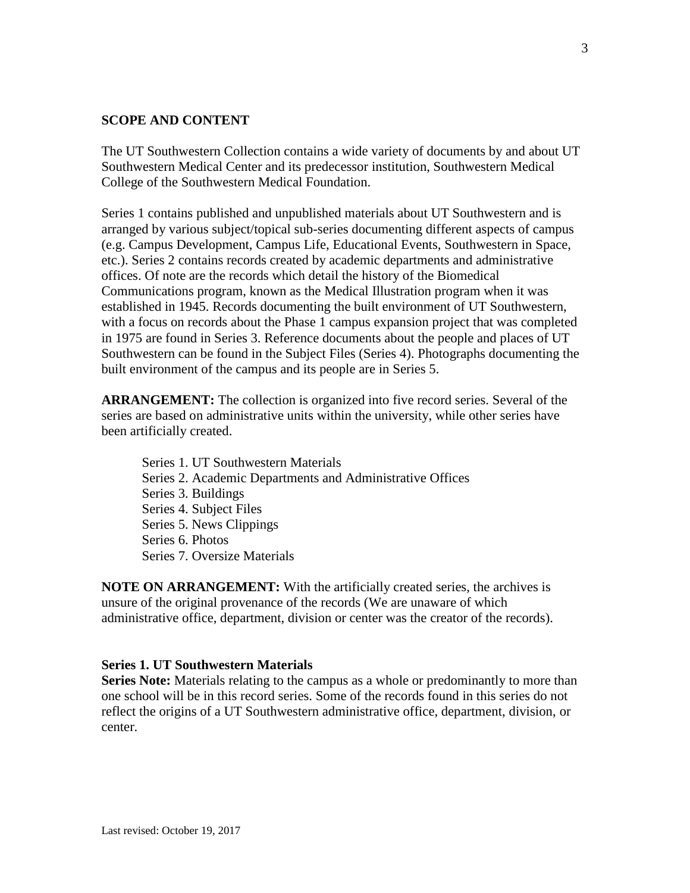#### **SCOPE AND CONTENT**

The UT Southwestern Collection contains a wide variety of documents by and about UT Southwestern Medical Center and its predecessor institution, Southwestern Medical College of the Southwestern Medical Foundation.

Series 1 contains published and unpublished materials about UT Southwestern and is arranged by various subject/topical sub-series documenting different aspects of campus (e.g. Campus Development, Campus Life, Educational Events, Southwestern in Space, etc.). Series 2 contains records created by academic departments and administrative offices. Of note are the records which detail the history of the Biomedical Communications program, known as the Medical Illustration program when it was established in 1945. Records documenting the built environment of UT Southwestern, with a focus on records about the Phase 1 campus expansion project that was completed in 1975 are found in Series 3. Reference documents about the people and places of UT Southwestern can be found in the Subject Files (Series 4). Photographs documenting the built environment of the campus and its people are in Series 5.

**ARRANGEMENT:** The collection is organized into five record series. Several of the series are based on administrative units within the university, while other series have been artificially created.

Series 1. UT Southwestern Materials Series 2. Academic Departments and Administrative Offices Series 3. Buildings Series 4. Subject Files Series 5. News Clippings Series 6. Photos Series 7. Oversize Materials

**NOTE ON ARRANGEMENT:** With the artificially created series, the archives is unsure of the original provenance of the records (We are unaware of which administrative office, department, division or center was the creator of the records).

#### **Series 1. UT Southwestern Materials**

**Series Note:** Materials relating to the campus as a whole or predominantly to more than one school will be in this record series. Some of the records found in this series do not reflect the origins of a UT Southwestern administrative office, department, division, or center.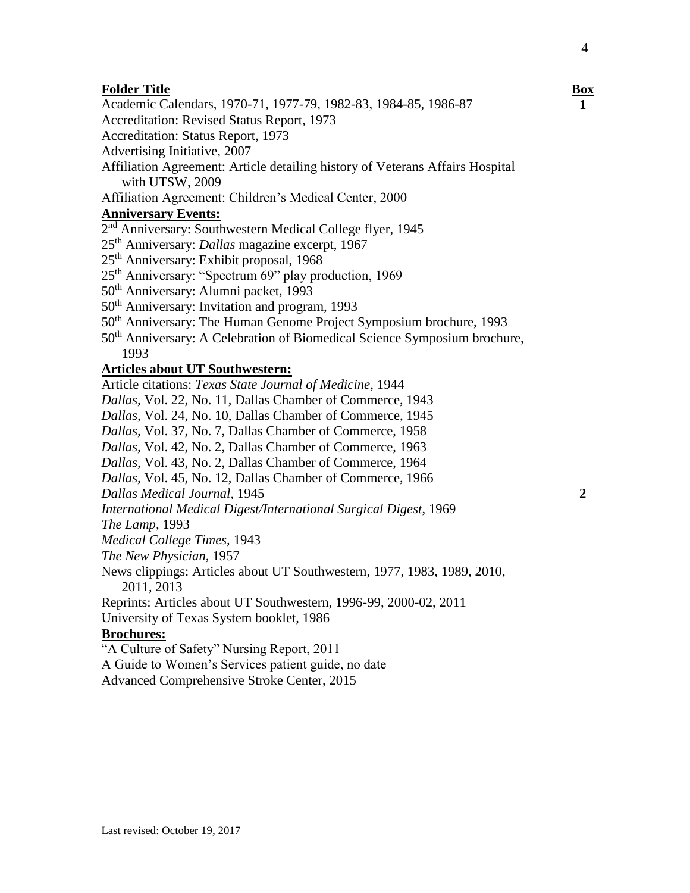Academic Calendars, 1970-71, 1977-79, 1982-83, 1984-85, 1986-87

Accreditation: Revised Status Report, 1973

Accreditation: Status Report, 1973

Advertising Initiative, 2007

- Affiliation Agreement: Article detailing history of Veterans Affairs Hospital with UTSW, 2009
- Affiliation Agreement: Children's Medical Center, 2000

#### **Anniversary Events:**

- 2<sup>nd</sup> Anniversary: Southwestern Medical College flyer, 1945
- 25th Anniversary: *Dallas* magazine excerpt, 1967
- 25th Anniversary: Exhibit proposal, 1968
- 25th Anniversary: "Spectrum 69" play production, 1969
- 50th Anniversary: Alumni packet, 1993
- 50th Anniversary: Invitation and program, 1993
- 50th Anniversary: The Human Genome Project Symposium brochure, 1993
- 50th Anniversary: A Celebration of Biomedical Science Symposium brochure, 1993

#### **Articles about UT Southwestern:**

Article citations: *Texas State Journal of Medicine*, 1944 *Dallas,* Vol. 22, No. 11, Dallas Chamber of Commerce, 1943 *Dallas,* Vol. 24, No. 10, Dallas Chamber of Commerce, 1945 *Dallas,* Vol. 37, No. 7, Dallas Chamber of Commerce, 1958 *Dallas,* Vol. 42, No. 2, Dallas Chamber of Commerce, 1963 *Dallas,* Vol. 43, No. 2, Dallas Chamber of Commerce, 1964 *Dallas,* Vol. 45, No. 12, Dallas Chamber of Commerce, 1966 *Dallas Medical Journal*, 1945 *International Medical Digest/International Surgical Digest*, 1969

*The Lamp,* 1993

*Medical College Times,* 1943

*The New Physician,* 1957

News clippings: Articles about UT Southwestern, 1977, 1983, 1989, 2010, 2011, 2013

Reprints: Articles about UT Southwestern, 1996-99, 2000-02, 2011

University of Texas System booklet, 1986

#### **Brochures:**

"A Culture of Safety" Nursing Report, 2011

A Guide to Women's Services patient guide, no date

Advanced Comprehensive Stroke Center, 2015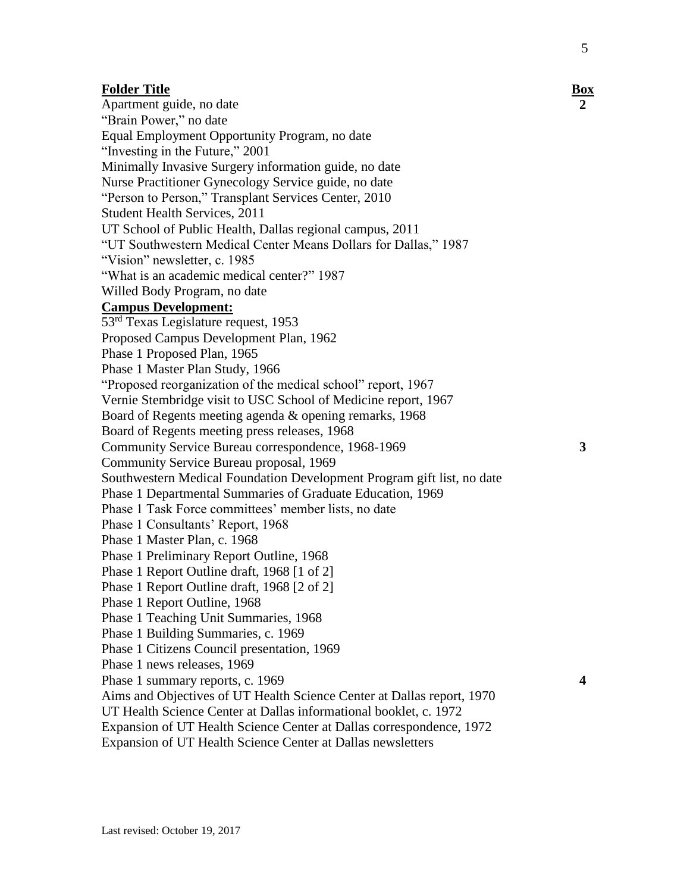**3**

**4**

**Folder Title Box** Apartment guide, no date "Brain Power," no date Equal Employment Opportunity Program, no date "Investing in the Future," 2001 Minimally Invasive Surgery information guide, no date Nurse Practitioner Gynecology Service guide, no date "Person to Person," Transplant Services Center, 2010 Student Health Services, 2011 UT School of Public Health, Dallas regional campus, 2011 "UT Southwestern Medical Center Means Dollars for Dallas," 1987 "Vision" newsletter, c. 1985 "What is an academic medical center?" 1987 Willed Body Program, no date **Campus Development:** 53rd Texas Legislature request, 1953 Proposed Campus Development Plan, 1962 Phase 1 Proposed Plan, 1965 Phase 1 Master Plan Study, 1966 "Proposed reorganization of the medical school" report, 1967 Vernie Stembridge visit to USC School of Medicine report, 1967 Board of Regents meeting agenda & opening remarks, 1968 Board of Regents meeting press releases, 1968 Community Service Bureau correspondence, 1968-1969 Community Service Bureau proposal, 1969 Southwestern Medical Foundation Development Program gift list, no date Phase 1 Departmental Summaries of Graduate Education, 1969 Phase 1 Task Force committees' member lists, no date Phase 1 Consultants' Report, 1968 Phase 1 Master Plan, c. 1968 Phase 1 Preliminary Report Outline, 1968 Phase 1 Report Outline draft, 1968 [1 of 2] Phase 1 Report Outline draft, 1968 [2 of 2] Phase 1 Report Outline, 1968 Phase 1 Teaching Unit Summaries, 1968 Phase 1 Building Summaries, c. 1969 Phase 1 Citizens Council presentation, 1969 Phase 1 news releases, 1969 Phase 1 summary reports, c. 1969 Aims and Objectives of UT Health Science Center at Dallas report, 1970 UT Health Science Center at Dallas informational booklet, c. 1972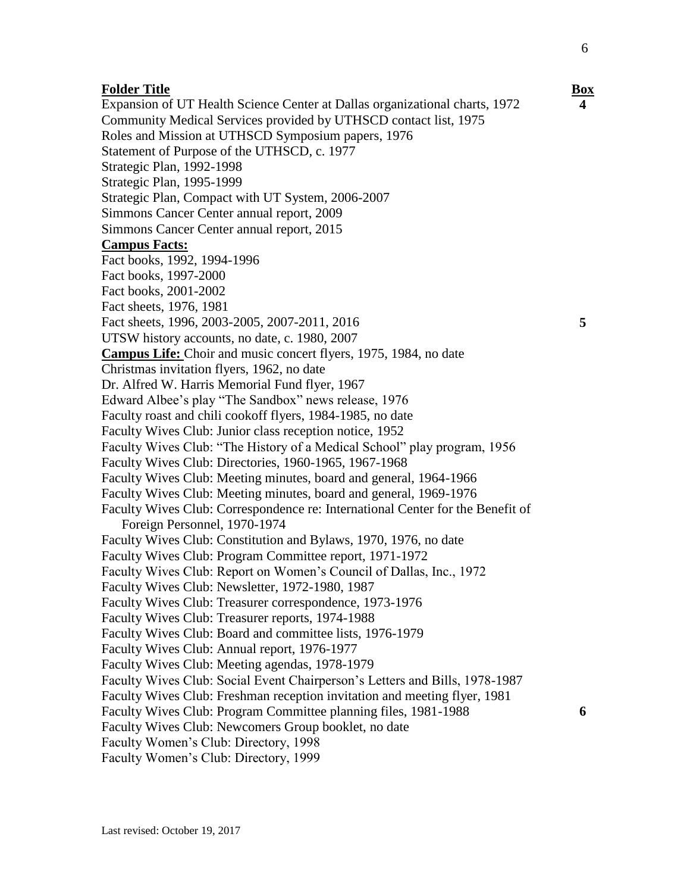Expansion of UT Health Science Center at Dallas organizational charts, 1972 Community Medical Services provided by UTHSCD contact list, 1975 Roles and Mission at UTHSCD Symposium papers, 1976 Statement of Purpose of the UTHSCD, c. 1977 Strategic Plan, 1992-1998 Strategic Plan, 1995-1999 Strategic Plan, Compact with UT System, 2006-2007 Simmons Cancer Center annual report, 2009 Simmons Cancer Center annual report, 2015 **Campus Facts:** Fact books, 1992, 1994-1996 Fact books, 1997-2000 Fact books, 2001-2002 Fact sheets, 1976, 1981 Fact sheets, 1996, 2003-2005, 2007-2011, 2016 UTSW history accounts, no date, c. 1980, 2007 **Campus Life:** Choir and music concert flyers, 1975, 1984, no date Christmas invitation flyers, 1962, no date Dr. Alfred W. Harris Memorial Fund flyer, 1967 Edward Albee's play "The Sandbox" news release, 1976 Faculty roast and chili cookoff flyers, 1984-1985, no date Faculty Wives Club: Junior class reception notice, 1952 Faculty Wives Club: "The History of a Medical School" play program, 1956 Faculty Wives Club: Directories, 1960-1965, 1967-1968 Faculty Wives Club: Meeting minutes, board and general, 1964-1966 Faculty Wives Club: Meeting minutes, board and general, 1969-1976 Faculty Wives Club: Correspondence re: International Center for the Benefit of Foreign Personnel, 1970-1974 Faculty Wives Club: Constitution and Bylaws, 1970, 1976, no date Faculty Wives Club: Program Committee report, 1971-1972 Faculty Wives Club: Report on Women's Council of Dallas, Inc., 1972 Faculty Wives Club: Newsletter, 1972-1980, 1987 Faculty Wives Club: Treasurer correspondence, 1973-1976 Faculty Wives Club: Treasurer reports, 1974-1988 Faculty Wives Club: Board and committee lists, 1976-1979 Faculty Wives Club: Annual report, 1976-1977 Faculty Wives Club: Meeting agendas, 1978-1979 Faculty Wives Club: Social Event Chairperson's Letters and Bills, 1978-1987 Faculty Wives Club: Freshman reception invitation and meeting flyer, 1981 Faculty Wives Club: Program Committee planning files, 1981-1988 Faculty Wives Club: Newcomers Group booklet, no date Faculty Women's Club: Directory, 1998

Faculty Women's Club: Directory, 1999

**4**

6

**5**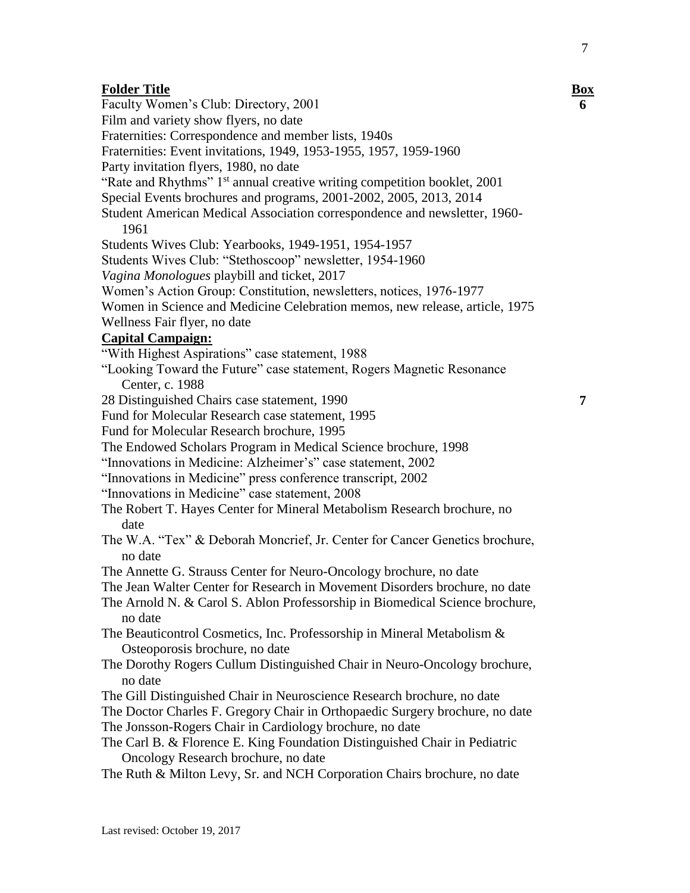Faculty Women's Club: Directory, 2001 Film and variety show flyers, no date Fraternities: Correspondence and member lists, 1940s Fraternities: Event invitations, 1949, 1953-1955, 1957, 1959-1960 Party invitation flyers, 1980, no date "Rate and Rhythms"  $1<sup>st</sup>$  annual creative writing competition booklet, 2001 Special Events brochures and programs, 2001-2002, 2005, 2013, 2014 Student American Medical Association correspondence and newsletter, 1960- 1961 Students Wives Club: Yearbooks, 1949-1951, 1954-1957 Students Wives Club: "Stethoscoop" newsletter, 1954-1960 *Vagina Monologues* playbill and ticket, 2017 Women's Action Group: Constitution, newsletters, notices, 1976-1977 Women in Science and Medicine Celebration memos, new release, article, 1975 Wellness Fair flyer, no date **Capital Campaign:** "With Highest Aspirations" case statement, 1988 "Looking Toward the Future" case statement, Rogers Magnetic Resonance Center, c. 1988 28 Distinguished Chairs case statement, 1990 Fund for Molecular Research case statement, 1995 Fund for Molecular Research brochure, 1995 The Endowed Scholars Program in Medical Science brochure, 1998 "Innovations in Medicine: Alzheimer's" case statement, 2002 "Innovations in Medicine" press conference transcript, 2002 "Innovations in Medicine" case statement, 2008 The Robert T. Hayes Center for Mineral Metabolism Research brochure, no date The W.A. "Tex" & Deborah Moncrief, Jr. Center for Cancer Genetics brochure, no date The Annette G. Strauss Center for Neuro-Oncology brochure, no date The Jean Walter Center for Research in Movement Disorders brochure, no date The Arnold N. & Carol S. Ablon Professorship in Biomedical Science brochure, no date The Beauticontrol Cosmetics, Inc. Professorship in Mineral Metabolism & Osteoporosis brochure, no date The Dorothy Rogers Cullum Distinguished Chair in Neuro-Oncology brochure, no date The Gill Distinguished Chair in Neuroscience Research brochure, no date The Doctor Charles F. Gregory Chair in Orthopaedic Surgery brochure, no date The Jonsson-Rogers Chair in Cardiology brochure, no date The Carl B. & Florence E. King Foundation Distinguished Chair in Pediatric Oncology Research brochure, no date The Ruth & Milton Levy, Sr. and NCH Corporation Chairs brochure, no date

**6**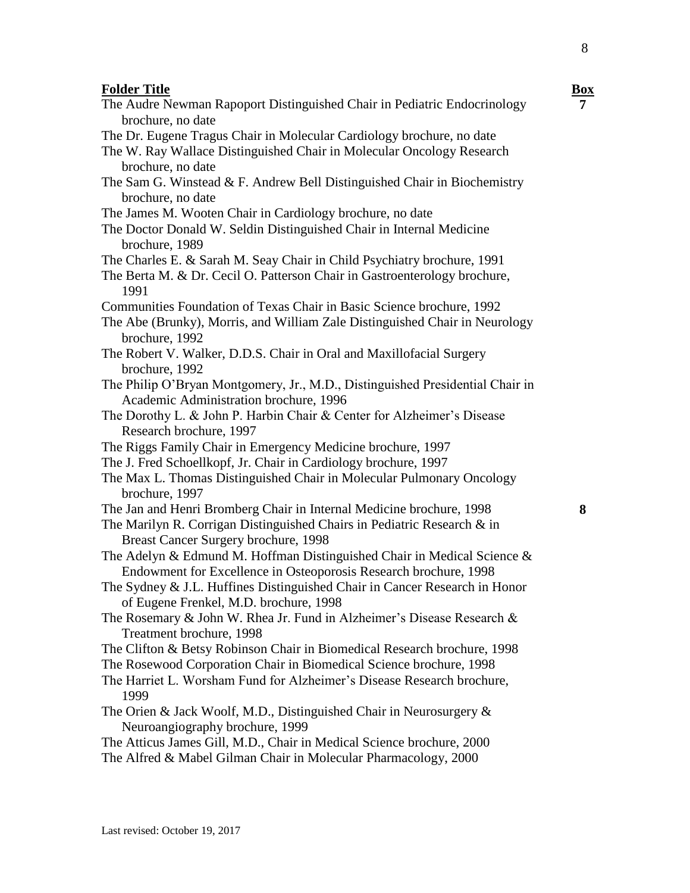**Folder Title Box** The Audre Newman Rapoport Distinguished Chair in Pediatric Endocrinology brochure, no date The Dr. Eugene Tragus Chair in Molecular Cardiology brochure, no date The W. Ray Wallace Distinguished Chair in Molecular Oncology Research brochure, no date The Sam G. Winstead & F. Andrew Bell Distinguished Chair in Biochemistry brochure, no date The James M. Wooten Chair in Cardiology brochure, no date The Doctor Donald W. Seldin Distinguished Chair in Internal Medicine brochure, 1989 The Charles E. & Sarah M. Seay Chair in Child Psychiatry brochure, 1991 The Berta M. & Dr. Cecil O. Patterson Chair in Gastroenterology brochure, 1991 Communities Foundation of Texas Chair in Basic Science brochure, 1992 The Abe (Brunky), Morris, and William Zale Distinguished Chair in Neurology brochure, 1992 The Robert V. Walker, D.D.S. Chair in Oral and Maxillofacial Surgery brochure, 1992 The Philip O'Bryan Montgomery, Jr., M.D., Distinguished Presidential Chair in Academic Administration brochure, 1996 The Dorothy L. & John P. Harbin Chair & Center for Alzheimer's Disease Research brochure, 1997 The Riggs Family Chair in Emergency Medicine brochure, 1997 The J. Fred Schoellkopf, Jr. Chair in Cardiology brochure, 1997 The Max L. Thomas Distinguished Chair in Molecular Pulmonary Oncology brochure, 1997 The Jan and Henri Bromberg Chair in Internal Medicine brochure, 1998 The Marilyn R. Corrigan Distinguished Chairs in Pediatric Research & in Breast Cancer Surgery brochure, 1998 The Adelyn & Edmund M. Hoffman Distinguished Chair in Medical Science & Endowment for Excellence in Osteoporosis Research brochure, 1998 The Sydney & J.L. Huffines Distinguished Chair in Cancer Research in Honor of Eugene Frenkel, M.D. brochure, 1998 The Rosemary & John W. Rhea Jr. Fund in Alzheimer's Disease Research & Treatment brochure, 1998 The Clifton & Betsy Robinson Chair in Biomedical Research brochure, 1998 The Rosewood Corporation Chair in Biomedical Science brochure, 1998 The Harriet L. Worsham Fund for Alzheimer's Disease Research brochure, 1999 The Orien & Jack Woolf, M.D., Distinguished Chair in Neurosurgery & Neuroangiography brochure, 1999 The Atticus James Gill, M.D., Chair in Medical Science brochure, 2000 The Alfred & Mabel Gilman Chair in Molecular Pharmacology, 2000

**7**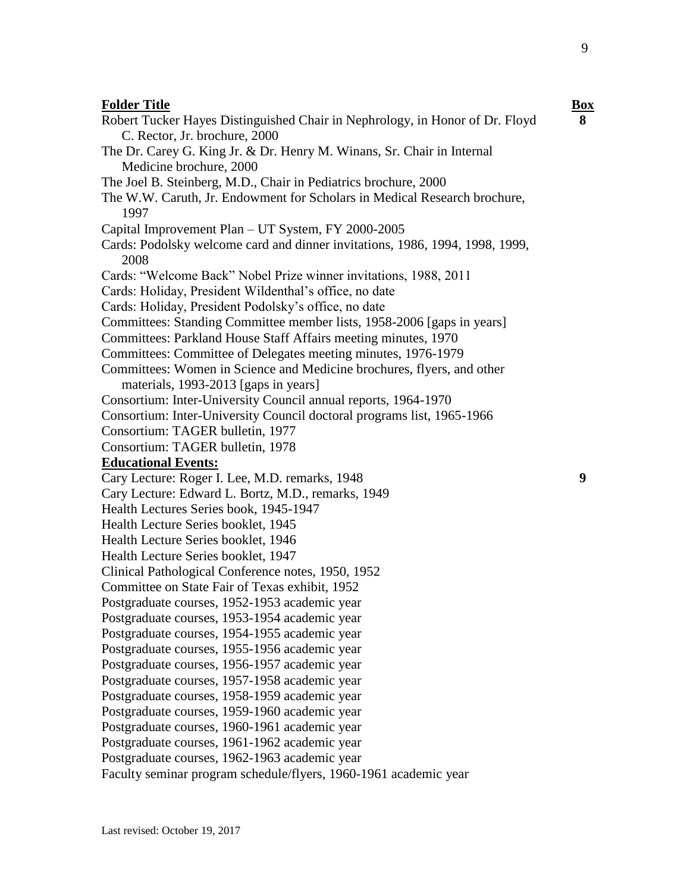| <b>Folder Title</b>                                                          | <b>Box</b> |
|------------------------------------------------------------------------------|------------|
| Robert Tucker Hayes Distinguished Chair in Nephrology, in Honor of Dr. Floyd | 8          |
| C. Rector, Jr. brochure, 2000                                                |            |
| The Dr. Carey G. King Jr. & Dr. Henry M. Winans, Sr. Chair in Internal       |            |
| Medicine brochure, 2000                                                      |            |
| The Joel B. Steinberg, M.D., Chair in Pediatrics brochure, 2000              |            |
| The W.W. Caruth, Jr. Endowment for Scholars in Medical Research brochure,    |            |
| 1997                                                                         |            |
| Capital Improvement Plan - UT System, FY 2000-2005                           |            |
| Cards: Podolsky welcome card and dinner invitations, 1986, 1994, 1998, 1999, |            |
| 2008                                                                         |            |
| Cards: "Welcome Back" Nobel Prize winner invitations, 1988, 2011             |            |
| Cards: Holiday, President Wildenthal's office, no date                       |            |
| Cards: Holiday, President Podolsky's office, no date                         |            |
| Committees: Standing Committee member lists, 1958-2006 [gaps in years]       |            |
| Committees: Parkland House Staff Affairs meeting minutes, 1970               |            |
| Committees: Committee of Delegates meeting minutes, 1976-1979                |            |
| Committees: Women in Science and Medicine brochures, flyers, and other       |            |
| materials, 1993-2013 [gaps in years]                                         |            |
| Consortium: Inter-University Council annual reports, 1964-1970               |            |
| Consortium: Inter-University Council doctoral programs list, 1965-1966       |            |
| Consortium: TAGER bulletin, 1977                                             |            |
| Consortium: TAGER bulletin, 1978                                             |            |
| <b>Educational Events:</b>                                                   |            |
| Cary Lecture: Roger I. Lee, M.D. remarks, 1948                               | 9          |
| Cary Lecture: Edward L. Bortz, M.D., remarks, 1949                           |            |
| Health Lectures Series book, 1945-1947                                       |            |
| Health Lecture Series booklet, 1945                                          |            |
| Health Lecture Series booklet, 1946                                          |            |
| Health Lecture Series booklet, 1947                                          |            |
| Clinical Pathological Conference notes, 1950, 1952                           |            |
| Committee on State Fair of Texas exhibit, 1952                               |            |
| Postgraduate courses, 1952-1953 academic year                                |            |
| Postgraduate courses, 1953-1954 academic year                                |            |
| Postgraduate courses, 1954-1955 academic year                                |            |
| Postgraduate courses, 1955-1956 academic year                                |            |
| Postgraduate courses, 1956-1957 academic year                                |            |
| Postgraduate courses, 1957-1958 academic year                                |            |
| Postgraduate courses, 1958-1959 academic year                                |            |
| Postgraduate courses, 1959-1960 academic year                                |            |
| Postgraduate courses, 1960-1961 academic year                                |            |
| Postgraduate courses, 1961-1962 academic year                                |            |
| Postgraduate courses, 1962-1963 academic year                                |            |
| Faculty seminar program schedule/flyers, 1960-1961 academic year             |            |

Last revised: October 19, 2017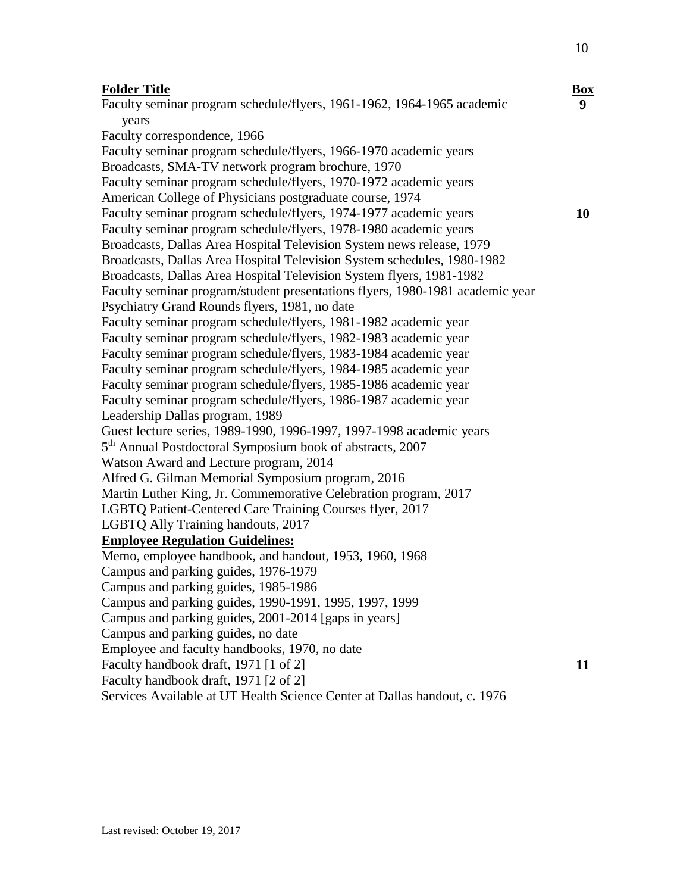#### **Folder Title Box**

Faculty seminar program schedule/flyers, 1961-1962, 1964-1965 academic years Faculty correspondence, 1966 Faculty seminar program schedule/flyers, 1966-1970 academic years Broadcasts, SMA-TV network program brochure, 1970 Faculty seminar program schedule/flyers, 1970-1972 academic years American College of Physicians postgraduate course, 1974 Faculty seminar program schedule/flyers, 1974-1977 academic years Faculty seminar program schedule/flyers, 1978-1980 academic years Broadcasts, Dallas Area Hospital Television System news release, 1979 Broadcasts, Dallas Area Hospital Television System schedules, 1980-1982 Broadcasts, Dallas Area Hospital Television System flyers, 1981-1982 Faculty seminar program/student presentations flyers, 1980-1981 academic year Psychiatry Grand Rounds flyers, 1981, no date Faculty seminar program schedule/flyers, 1981-1982 academic year Faculty seminar program schedule/flyers, 1982-1983 academic year Faculty seminar program schedule/flyers, 1983-1984 academic year Faculty seminar program schedule/flyers, 1984-1985 academic year Faculty seminar program schedule/flyers, 1985-1986 academic year Faculty seminar program schedule/flyers, 1986-1987 academic year Leadership Dallas program, 1989 Guest lecture series, 1989-1990, 1996-1997, 1997-1998 academic years 5<sup>th</sup> Annual Postdoctoral Symposium book of abstracts, 2007 Watson Award and Lecture program, 2014 Alfred G. Gilman Memorial Symposium program, 2016 Martin Luther King, Jr. Commemorative Celebration program, 2017 LGBTQ Patient-Centered Care Training Courses flyer, 2017 LGBTQ Ally Training handouts, 2017 **Employee Regulation Guidelines:** Memo, employee handbook, and handout, 1953, 1960, 1968 Campus and parking guides, 1976-1979 Campus and parking guides, 1985-1986 Campus and parking guides, 1990-1991, 1995, 1997, 1999 Campus and parking guides, 2001-2014 [gaps in years] Campus and parking guides, no date Employee and faculty handbooks, 1970, no date Faculty handbook draft, 1971 [1 of 2] Faculty handbook draft, 1971 [2 of 2] Services Available at UT Health Science Center at Dallas handout, c. 1976 **10 11**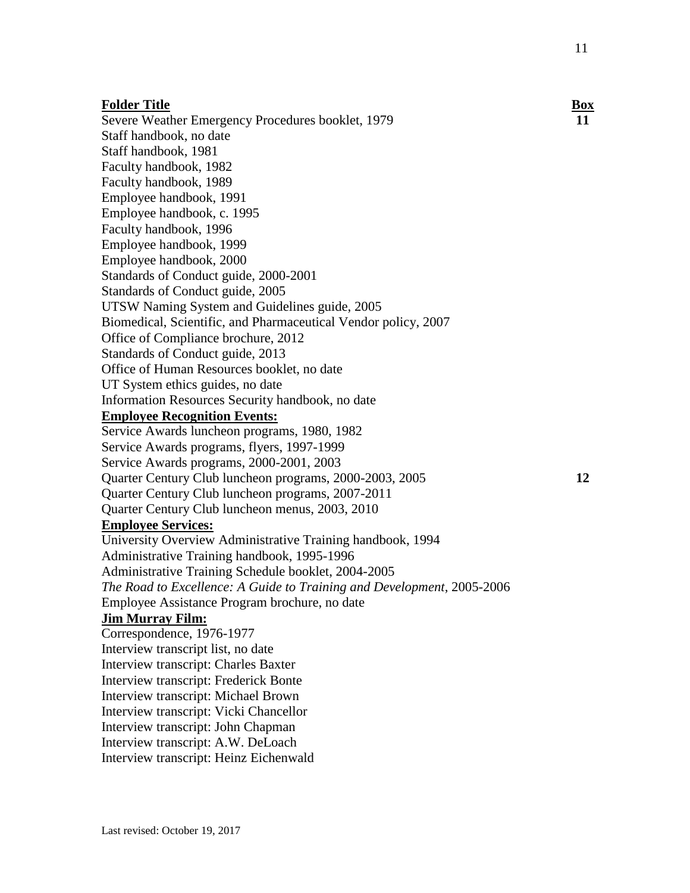**12**

#### **Folder Title Box**

Severe Weather Emergency Procedures booklet, 1979 Staff handbook, no date Staff handbook, 1981 Faculty handbook, 1982 Faculty handbook, 1989 Employee handbook, 1991 Employee handbook, c. 1995 Faculty handbook, 1996 Employee handbook, 1999 Employee handbook, 2000 Standards of Conduct guide, 2000-2001 Standards of Conduct guide, 2005 UTSW Naming System and Guidelines guide, 2005 Biomedical, Scientific, and Pharmaceutical Vendor policy, 2007 Office of Compliance brochure, 2012 Standards of Conduct guide, 2013 Office of Human Resources booklet, no date UT System ethics guides, no date Information Resources Security handbook, no date **Employee Recognition Events:** Service Awards luncheon programs, 1980, 1982 Service Awards programs, flyers, 1997-1999 Service Awards programs, 2000-2001, 2003 Quarter Century Club luncheon programs, 2000-2003, 2005 Quarter Century Club luncheon programs, 2007-2011 Quarter Century Club luncheon menus, 2003, 2010 **Employee Services:** University Overview Administrative Training handbook, 1994 Administrative Training handbook, 1995-1996 Administrative Training Schedule booklet, 2004-2005 *The Road to Excellence: A Guide to Training and Development*, 2005-2006 Employee Assistance Program brochure, no date **Jim Murray Film:**  Correspondence, 1976-1977 Interview transcript list, no date Interview transcript: Charles Baxter Interview transcript: Frederick Bonte Interview transcript: Michael Brown Interview transcript: Vicki Chancellor Interview transcript: John Chapman Interview transcript: A.W. DeLoach

Interview transcript: Heinz Eichenwald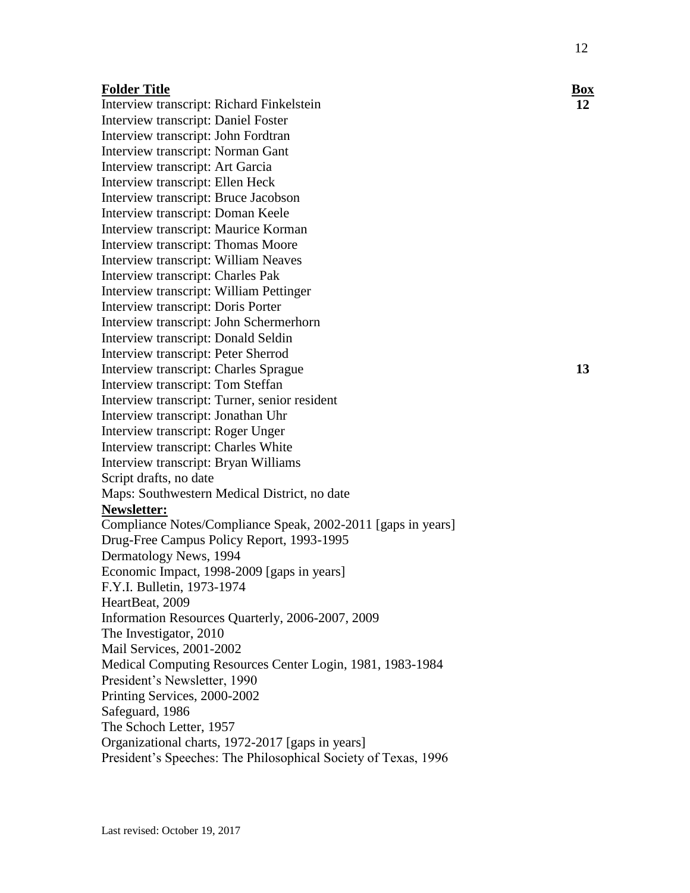Interview transcript: Richard Finkelstein Interview transcript: Daniel Foster Interview transcript: John Fordtran Interview transcript: Norman Gant Interview transcript: Art Garcia Interview transcript: Ellen Heck Interview transcript: Bruce Jacobson Interview transcript: Doman Keele Interview transcript: Maurice Korman Interview transcript: Thomas Moore Interview transcript: William Neaves Interview transcript: Charles Pak Interview transcript: William Pettinger Interview transcript: Doris Porter Interview transcript: John Schermerhorn Interview transcript: Donald Seldin Interview transcript: Peter Sherrod Interview transcript: Charles Sprague Interview transcript: Tom Steffan Interview transcript: Turner, senior resident Interview transcript: Jonathan Uhr Interview transcript: Roger Unger Interview transcript: Charles White Interview transcript: Bryan Williams Script drafts, no date Maps: Southwestern Medical District, no date **Newsletter:** Compliance Notes/Compliance Speak, 2002-2011 [gaps in years] Drug-Free Campus Policy Report, 1993-1995 Dermatology News, 1994 Economic Impact, 1998-2009 [gaps in years] F.Y.I. Bulletin, 1973-1974 HeartBeat, 2009 Information Resources Quarterly, 2006-2007, 2009 The Investigator, 2010 Mail Services, 2001-2002 Medical Computing Resources Center Login, 1981, 1983-1984 President's Newsletter, 1990 Printing Services, 2000-2002 Safeguard, 1986 The Schoch Letter, 1957 Organizational charts, 1972-2017 [gaps in years] President's Speeches: The Philosophical Society of Texas, 1996

**12**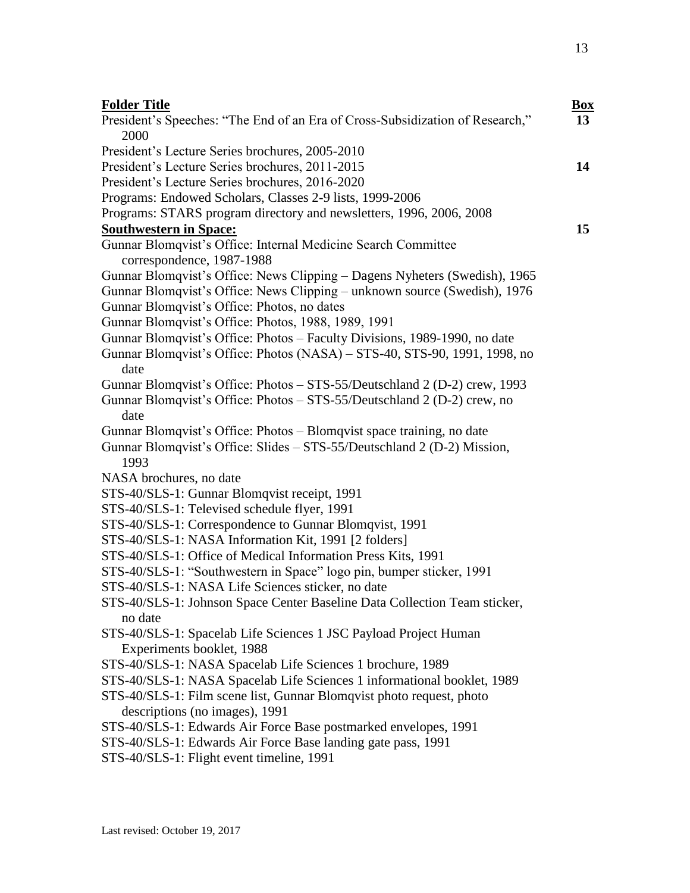| <b>Folder Title</b><br>President's Speeches: "The End of an Era of Cross-Subsidization of Research,"   | <b>Box</b><br>13 |
|--------------------------------------------------------------------------------------------------------|------------------|
| 2000                                                                                                   |                  |
| President's Lecture Series brochures, 2005-2010                                                        |                  |
| President's Lecture Series brochures, 2011-2015                                                        | 14               |
| President's Lecture Series brochures, 2016-2020                                                        |                  |
| Programs: Endowed Scholars, Classes 2-9 lists, 1999-2006                                               |                  |
| Programs: STARS program directory and newsletters, 1996, 2006, 2008                                    |                  |
| <b>Southwestern in Space:</b>                                                                          | 15               |
| Gunnar Blomqvist's Office: Internal Medicine Search Committee                                          |                  |
| correspondence, 1987-1988                                                                              |                  |
| Gunnar Blomqvist's Office: News Clipping – Dagens Nyheters (Swedish), 1965                             |                  |
| Gunnar Blomqvist's Office: News Clipping – unknown source (Swedish), 1976                              |                  |
| Gunnar Blomqvist's Office: Photos, no dates                                                            |                  |
| Gunnar Blomqvist's Office: Photos, 1988, 1989, 1991                                                    |                  |
| Gunnar Blomqvist's Office: Photos – Faculty Divisions, 1989-1990, no date                              |                  |
| Gunnar Blomqvist's Office: Photos (NASA) – STS-40, STS-90, 1991, 1998, no<br>date                      |                  |
| Gunnar Blomqvist's Office: Photos – STS-55/Deutschland 2 (D-2) crew, 1993                              |                  |
| Gunnar Blomqvist's Office: Photos – STS-55/Deutschland 2 (D-2) crew, no<br>date                        |                  |
| Gunnar Blomqvist's Office: Photos – Blomqvist space training, no date                                  |                  |
| Gunnar Blomqvist's Office: Slides – STS-55/Deutschland 2 (D-2) Mission,<br>1993                        |                  |
| NASA brochures, no date                                                                                |                  |
| STS-40/SLS-1: Gunnar Blomqvist receipt, 1991                                                           |                  |
| STS-40/SLS-1: Televised schedule flyer, 1991                                                           |                  |
| STS-40/SLS-1: Correspondence to Gunnar Blomqvist, 1991                                                 |                  |
| STS-40/SLS-1: NASA Information Kit, 1991 [2 folders]                                                   |                  |
| STS-40/SLS-1: Office of Medical Information Press Kits, 1991                                           |                  |
| STS-40/SLS-1: "Southwestern in Space" logo pin, bumper sticker, 1991                                   |                  |
| STS-40/SLS-1: NASA Life Sciences sticker, no date                                                      |                  |
| STS-40/SLS-1: Johnson Space Center Baseline Data Collection Team sticker,<br>no date                   |                  |
| STS-40/SLS-1: Spacelab Life Sciences 1 JSC Payload Project Human<br>Experiments booklet, 1988          |                  |
| STS-40/SLS-1: NASA Spacelab Life Sciences 1 brochure, 1989                                             |                  |
| STS-40/SLS-1: NASA Spacelab Life Sciences 1 informational booklet, 1989                                |                  |
| STS-40/SLS-1: Film scene list, Gunnar Blomqvist photo request, photo<br>descriptions (no images), 1991 |                  |
| STS-40/SLS-1: Edwards Air Force Base postmarked envelopes, 1991                                        |                  |
| STS-40/SLS-1: Edwards Air Force Base landing gate pass, 1991                                           |                  |
| STS-40/SLS-1: Flight event timeline, 1991                                                              |                  |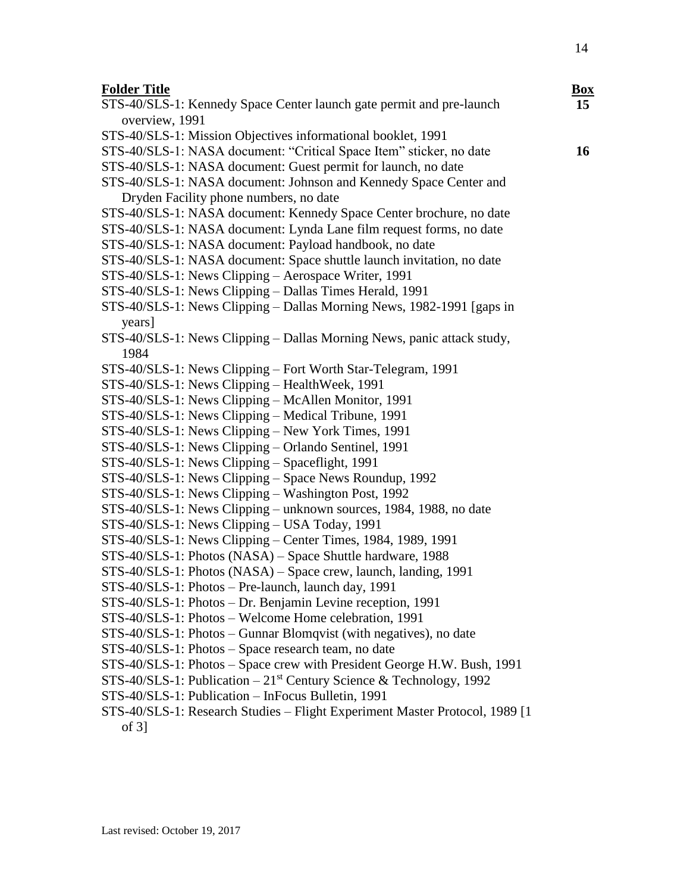# **Folder** Title

| <b>Folder Title</b>                                                              | $\underline{\mathbf{Box}}$ |
|----------------------------------------------------------------------------------|----------------------------|
| STS-40/SLS-1: Kennedy Space Center launch gate permit and pre-launch             | 15 <sup>15</sup>           |
| overview, 1991                                                                   |                            |
| STS-40/SLS-1: Mission Objectives informational booklet, 1991                     |                            |
| STS-40/SLS-1: NASA document: "Critical Space Item" sticker, no date              | 16                         |
| STS-40/SLS-1: NASA document: Guest permit for launch, no date                    |                            |
| STS-40/SLS-1: NASA document: Johnson and Kennedy Space Center and                |                            |
| Dryden Facility phone numbers, no date                                           |                            |
| STS-40/SLS-1: NASA document: Kennedy Space Center brochure, no date              |                            |
| STS-40/SLS-1: NASA document: Lynda Lane film request forms, no date              |                            |
| STS-40/SLS-1: NASA document: Payload handbook, no date                           |                            |
| STS-40/SLS-1: NASA document: Space shuttle launch invitation, no date            |                            |
| STS-40/SLS-1: News Clipping - Aerospace Writer, 1991                             |                            |
| STS-40/SLS-1: News Clipping - Dallas Times Herald, 1991                          |                            |
| STS-40/SLS-1: News Clipping - Dallas Morning News, 1982-1991 [gaps in            |                            |
| years]                                                                           |                            |
| STS-40/SLS-1: News Clipping - Dallas Morning News, panic attack study,           |                            |
| 1984                                                                             |                            |
| STS-40/SLS-1: News Clipping – Fort Worth Star-Telegram, 1991                     |                            |
| STS-40/SLS-1: News Clipping - HealthWeek, 1991                                   |                            |
| STS-40/SLS-1: News Clipping - McAllen Monitor, 1991                              |                            |
| STS-40/SLS-1: News Clipping - Medical Tribune, 1991                              |                            |
| STS-40/SLS-1: News Clipping - New York Times, 1991                               |                            |
| STS-40/SLS-1: News Clipping – Orlando Sentinel, 1991                             |                            |
| STS-40/SLS-1: News Clipping - Spaceflight, 1991                                  |                            |
| STS-40/SLS-1: News Clipping - Space News Roundup, 1992                           |                            |
| STS-40/SLS-1: News Clipping - Washington Post, 1992                              |                            |
| STS-40/SLS-1: News Clipping – unknown sources, 1984, 1988, no date               |                            |
| STS-40/SLS-1: News Clipping - USA Today, 1991                                    |                            |
| STS-40/SLS-1: News Clipping – Center Times, 1984, 1989, 1991                     |                            |
| STS-40/SLS-1: Photos (NASA) - Space Shuttle hardware, 1988                       |                            |
| STS-40/SLS-1: Photos (NASA) - Space crew, launch, landing, 1991                  |                            |
| STS-40/SLS-1: Photos - Pre-launch, launch day, 1991                              |                            |
| STS-40/SLS-1: Photos - Dr. Benjamin Levine reception, 1991                       |                            |
| STS-40/SLS-1: Photos - Welcome Home celebration, 1991                            |                            |
| STS-40/SLS-1: Photos - Gunnar Blomqvist (with negatives), no date                |                            |
| STS-40/SLS-1: Photos – Space research team, no date                              |                            |
| STS-40/SLS-1: Photos - Space crew with President George H.W. Bush, 1991          |                            |
| STS-40/SLS-1: Publication $-21$ <sup>st</sup> Century Science & Technology, 1992 |                            |
| STS-40/SLS-1: Publication - InFocus Bulletin, 1991                               |                            |
| STS-40/SLS-1: Research Studies - Flight Experiment Master Protocol, 1989 [1      |                            |
| of $3$ ]                                                                         |                            |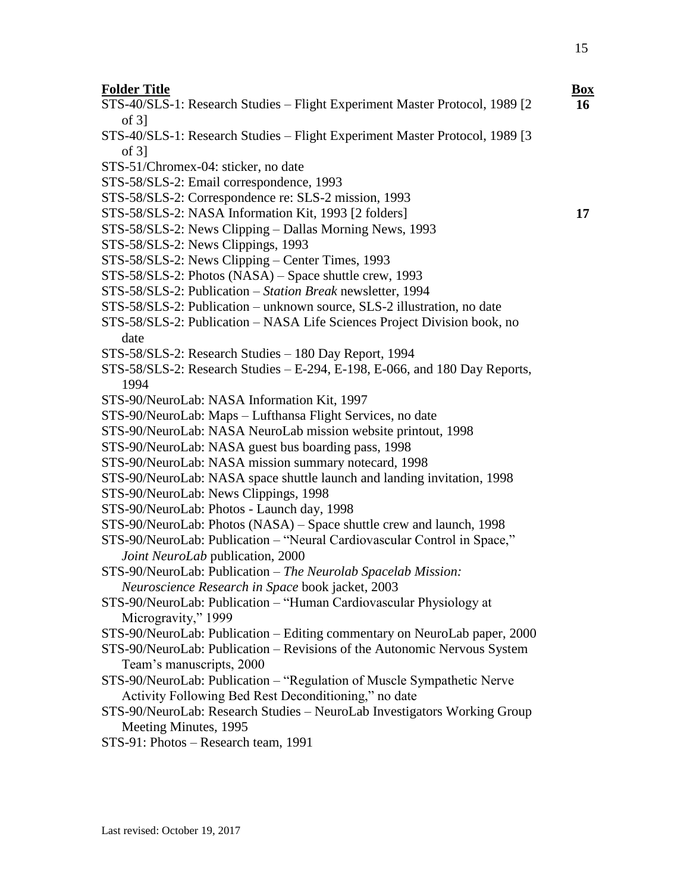- STS-40/SLS-1: Research Studies Flight Experiment Master Protocol, 1989 [2 of 3]
- STS-40/SLS-1: Research Studies Flight Experiment Master Protocol, 1989 [3 of 3]
- STS-51/Chromex-04: sticker, no date
- STS-58/SLS-2: Email correspondence, 1993
- STS-58/SLS-2: Correspondence re: SLS-2 mission, 1993
- STS-58/SLS-2: NASA Information Kit, 1993 [2 folders]
- STS-58/SLS-2: News Clipping Dallas Morning News, 1993
- STS-58/SLS-2: News Clippings, 1993
- STS-58/SLS-2: News Clipping Center Times, 1993
- STS-58/SLS-2: Photos (NASA) Space shuttle crew, 1993
- STS-58/SLS-2: Publication *Station Break* newsletter, 1994
- STS-58/SLS-2: Publication unknown source, SLS-2 illustration, no date
- STS-58/SLS-2: Publication NASA Life Sciences Project Division book, no date
- STS-58/SLS-2: Research Studies 180 Day Report, 1994
- STS-58/SLS-2: Research Studies E-294, E-198, E-066, and 180 Day Reports, 1994
- STS-90/NeuroLab: NASA Information Kit, 1997
- STS-90/NeuroLab: Maps Lufthansa Flight Services, no date
- STS-90/NeuroLab: NASA NeuroLab mission website printout, 1998
- STS-90/NeuroLab: NASA guest bus boarding pass, 1998
- STS-90/NeuroLab: NASA mission summary notecard, 1998
- STS-90/NeuroLab: NASA space shuttle launch and landing invitation, 1998
- STS-90/NeuroLab: News Clippings, 1998
- STS-90/NeuroLab: Photos Launch day, 1998
- STS-90/NeuroLab: Photos (NASA) Space shuttle crew and launch, 1998
- STS-90/NeuroLab: Publication "Neural Cardiovascular Control in Space," *Joint NeuroLab* publication, 2000
- STS-90/NeuroLab: Publication *The Neurolab Spacelab Mission: Neuroscience Research in Space* book jacket, 2003
- STS-90/NeuroLab: Publication "Human Cardiovascular Physiology at Microgravity," 1999
- STS-90/NeuroLab: Publication Editing commentary on NeuroLab paper, 2000
- STS-90/NeuroLab: Publication Revisions of the Autonomic Nervous System Team's manuscripts, 2000
- STS-90/NeuroLab: Publication "Regulation of Muscle Sympathetic Nerve Activity Following Bed Rest Deconditioning," no date
- STS-90/NeuroLab: Research Studies NeuroLab Investigators Working Group Meeting Minutes, 1995
- STS-91: Photos Research team, 1991

**16**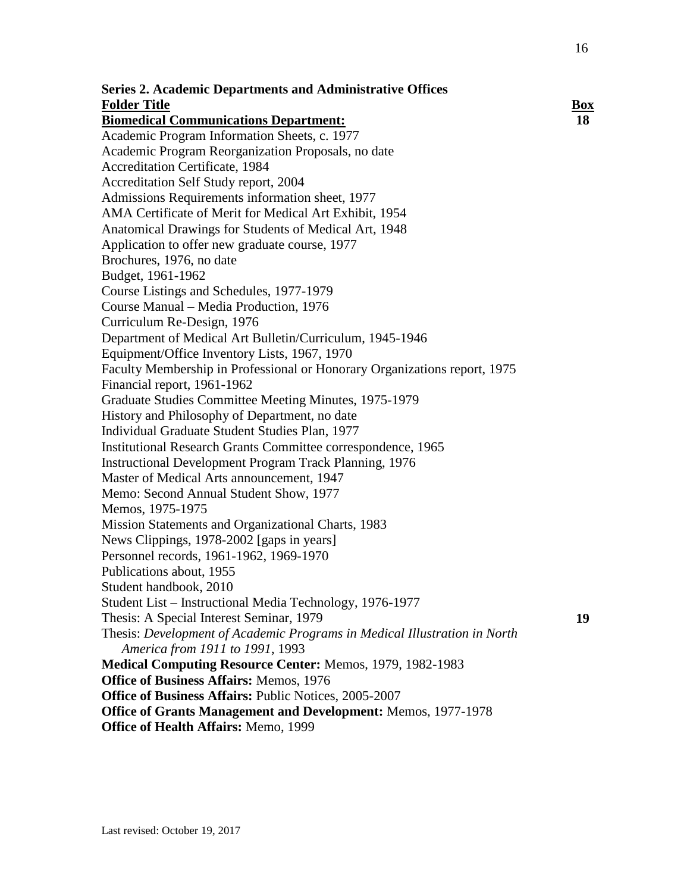| <b>Series 2. Academic Departments and Administrative Offices</b>          |            |
|---------------------------------------------------------------------------|------------|
| <b>Folder Title</b>                                                       | <b>Box</b> |
| <b>Biomedical Communications Department:</b>                              | 18         |
| Academic Program Information Sheets, c. 1977                              |            |
| Academic Program Reorganization Proposals, no date                        |            |
| <b>Accreditation Certificate, 1984</b>                                    |            |
| Accreditation Self Study report, 2004                                     |            |
| Admissions Requirements information sheet, 1977                           |            |
| AMA Certificate of Merit for Medical Art Exhibit, 1954                    |            |
| Anatomical Drawings for Students of Medical Art, 1948                     |            |
| Application to offer new graduate course, 1977                            |            |
| Brochures, 1976, no date                                                  |            |
| Budget, 1961-1962                                                         |            |
| Course Listings and Schedules, 1977-1979                                  |            |
| Course Manual – Media Production, 1976                                    |            |
| Curriculum Re-Design, 1976                                                |            |
| Department of Medical Art Bulletin/Curriculum, 1945-1946                  |            |
| Equipment/Office Inventory Lists, 1967, 1970                              |            |
| Faculty Membership in Professional or Honorary Organizations report, 1975 |            |
| Financial report, 1961-1962                                               |            |
| Graduate Studies Committee Meeting Minutes, 1975-1979                     |            |
| History and Philosophy of Department, no date                             |            |
| Individual Graduate Student Studies Plan, 1977                            |            |
| Institutional Research Grants Committee correspondence, 1965              |            |
| <b>Instructional Development Program Track Planning, 1976</b>             |            |
| Master of Medical Arts announcement, 1947                                 |            |
| Memo: Second Annual Student Show, 1977                                    |            |
| Memos, 1975-1975                                                          |            |
| Mission Statements and Organizational Charts, 1983                        |            |
| News Clippings, 1978-2002 [gaps in years]                                 |            |
| Personnel records, 1961-1962, 1969-1970                                   |            |
| Publications about, 1955                                                  |            |
| Student handbook, 2010                                                    |            |
| Student List – Instructional Media Technology, 1976-1977                  |            |
| Thesis: A Special Interest Seminar, 1979                                  | 19         |
| Thesis: Development of Academic Programs in Medical Illustration in North |            |
| America from 1911 to 1991, 1993                                           |            |
| Medical Computing Resource Center: Memos, 1979, 1982-1983                 |            |
| <b>Office of Business Affairs: Memos, 1976</b>                            |            |
| <b>Office of Business Affairs: Public Notices, 2005-2007</b>              |            |
| Office of Grants Management and Development: Memos, 1977-1978             |            |
| Office of Health Affairs: Memo, 1999                                      |            |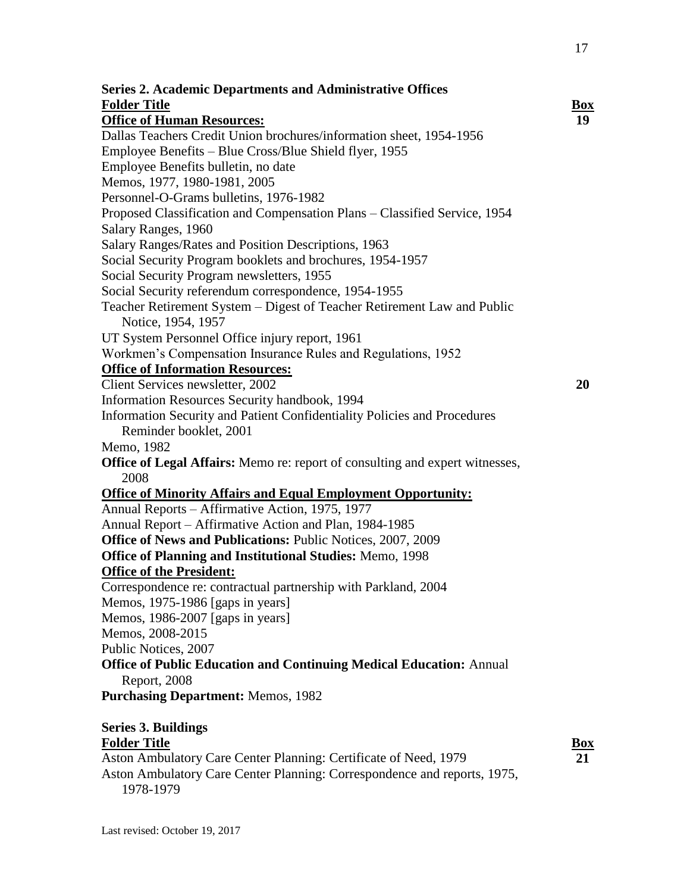| <b>Series 2. Academic Departments and Administrative Offices</b>                                                                             |            |
|----------------------------------------------------------------------------------------------------------------------------------------------|------------|
| <b>Folder Title</b>                                                                                                                          | <b>Box</b> |
| <b>Office of Human Resources:</b>                                                                                                            | 19         |
| Dallas Teachers Credit Union brochures/information sheet, 1954-1956                                                                          |            |
| Employee Benefits – Blue Cross/Blue Shield flyer, 1955                                                                                       |            |
| Employee Benefits bulletin, no date                                                                                                          |            |
| Memos, 1977, 1980-1981, 2005                                                                                                                 |            |
| Personnel-O-Grams bulletins, 1976-1982                                                                                                       |            |
| Proposed Classification and Compensation Plans - Classified Service, 1954                                                                    |            |
| Salary Ranges, 1960                                                                                                                          |            |
| Salary Ranges/Rates and Position Descriptions, 1963                                                                                          |            |
| Social Security Program booklets and brochures, 1954-1957                                                                                    |            |
| Social Security Program newsletters, 1955                                                                                                    |            |
| Social Security referendum correspondence, 1954-1955                                                                                         |            |
| Teacher Retirement System - Digest of Teacher Retirement Law and Public<br>Notice, 1954, 1957                                                |            |
| UT System Personnel Office injury report, 1961                                                                                               |            |
| Workmen's Compensation Insurance Rules and Regulations, 1952                                                                                 |            |
| <b>Office of Information Resources:</b>                                                                                                      |            |
| Client Services newsletter, 2002                                                                                                             | 20         |
| Information Resources Security handbook, 1994                                                                                                |            |
| Information Security and Patient Confidentiality Policies and Procedures                                                                     |            |
| Reminder booklet, 2001                                                                                                                       |            |
| Memo, 1982                                                                                                                                   |            |
| <b>Office of Legal Affairs:</b> Memo re: report of consulting and expert witnesses,                                                          |            |
| 2008                                                                                                                                         |            |
| <b>Office of Minority Affairs and Equal Employment Opportunity:</b>                                                                          |            |
| Annual Reports - Affirmative Action, 1975, 1977                                                                                              |            |
| Annual Report - Affirmative Action and Plan, 1984-1985                                                                                       |            |
| <b>Office of News and Publications: Public Notices, 2007, 2009</b>                                                                           |            |
| <b>Office of Planning and Institutional Studies: Memo, 1998</b>                                                                              |            |
| <b>Office of the President:</b>                                                                                                              |            |
| Correspondence re: contractual partnership with Parkland, 2004                                                                               |            |
| Memos, 1975-1986 [gaps in years]                                                                                                             |            |
| Memos, 1986-2007 [gaps in years]                                                                                                             |            |
| Memos, 2008-2015                                                                                                                             |            |
| Public Notices, 2007                                                                                                                         |            |
| <b>Office of Public Education and Continuing Medical Education: Annual</b><br>Report, 2008                                                   |            |
| <b>Purchasing Department: Memos, 1982</b>                                                                                                    |            |
| <b>Series 3. Buildings</b>                                                                                                                   |            |
| <b>Folder Title</b>                                                                                                                          | <u>Box</u> |
| Aston Ambulatory Care Center Planning: Certificate of Need, 1979<br>Aston Ambulatory Care Center Planning: Correspondence and reports, 1975, | 21         |

Last revised: October 19, 2017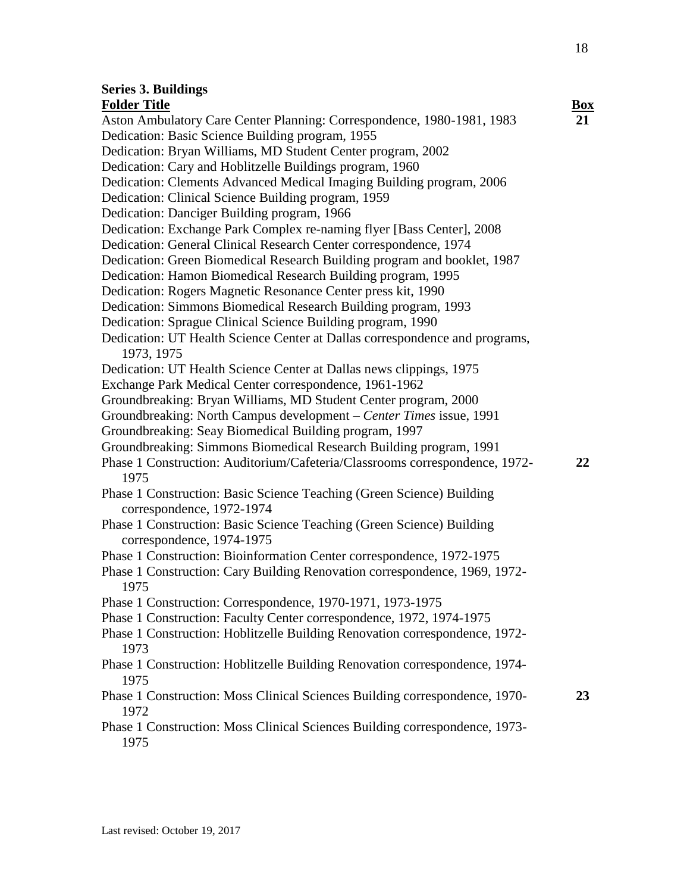## **Series 3. Buildings**

**Folder Title Box** Aston Ambulatory Care Center Planning: Correspondence, 1980-1981, 1983 Dedication: Basic Science Building program, 1955 Dedication: Bryan Williams, MD Student Center program, 2002 Dedication: Cary and Hoblitzelle Buildings program, 1960 Dedication: Clements Advanced Medical Imaging Building program, 2006 Dedication: Clinical Science Building program, 1959 Dedication: Danciger Building program, 1966 Dedication: Exchange Park Complex re-naming flyer [Bass Center], 2008 Dedication: General Clinical Research Center correspondence, 1974 Dedication: Green Biomedical Research Building program and booklet, 1987 Dedication: Hamon Biomedical Research Building program, 1995 Dedication: Rogers Magnetic Resonance Center press kit, 1990 Dedication: Simmons Biomedical Research Building program, 1993 Dedication: Sprague Clinical Science Building program, 1990 Dedication: UT Health Science Center at Dallas correspondence and programs, 1973, 1975 Dedication: UT Health Science Center at Dallas news clippings, 1975 Exchange Park Medical Center correspondence, 1961-1962 Groundbreaking: Bryan Williams, MD Student Center program, 2000 Groundbreaking: North Campus development – *Center Times* issue, 1991 Groundbreaking: Seay Biomedical Building program, 1997 Groundbreaking: Simmons Biomedical Research Building program, 1991 Phase 1 Construction: Auditorium/Cafeteria/Classrooms correspondence, 1972- 1975 Phase 1 Construction: Basic Science Teaching (Green Science) Building correspondence, 1972-1974 Phase 1 Construction: Basic Science Teaching (Green Science) Building correspondence, 1974-1975 Phase 1 Construction: Bioinformation Center correspondence, 1972-1975 Phase 1 Construction: Cary Building Renovation correspondence, 1969, 1972- 1975 Phase 1 Construction: Correspondence, 1970-1971, 1973-1975 Phase 1 Construction: Faculty Center correspondence, 1972, 1974-1975 Phase 1 Construction: Hoblitzelle Building Renovation correspondence, 1972- 1973 Phase 1 Construction: Hoblitzelle Building Renovation correspondence, 1974- 1975 Phase 1 Construction: Moss Clinical Sciences Building correspondence, 1970- 1972 Phase 1 Construction: Moss Clinical Sciences Building correspondence, 1973- 1975 **21 22 23**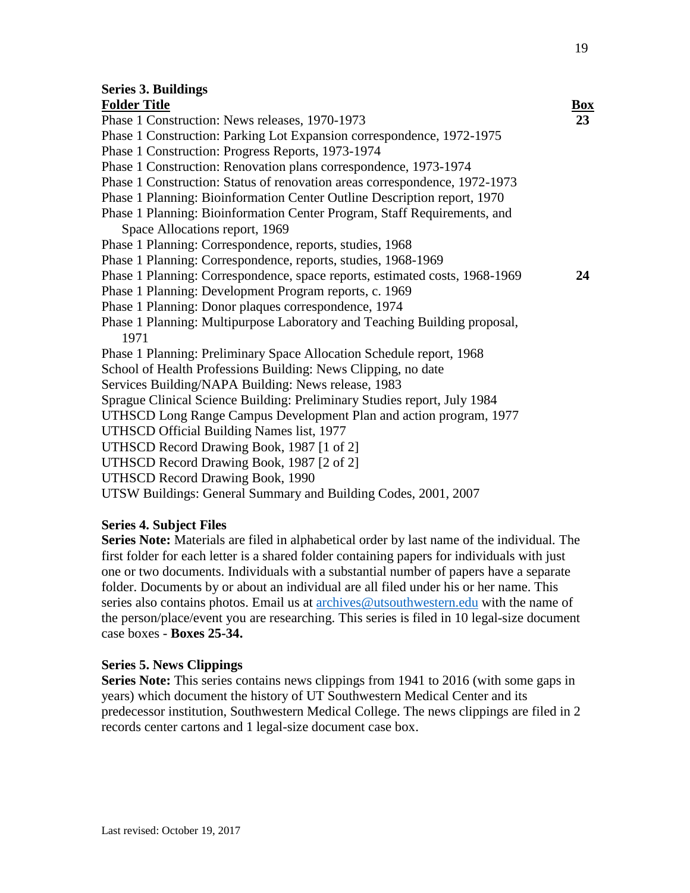**24**

### **Series 3. Buildings**

#### **Folder Title Box** Phase 1 Construction: News releases, 1970-1973 Phase 1 Construction: Parking Lot Expansion correspondence, 1972-1975 Phase 1 Construction: Progress Reports, 1973-1974 Phase 1 Construction: Renovation plans correspondence, 1973-1974 Phase 1 Construction: Status of renovation areas correspondence, 1972-1973 Phase 1 Planning: Bioinformation Center Outline Description report, 1970 Phase 1 Planning: Bioinformation Center Program, Staff Requirements, and Space Allocations report, 1969 Phase 1 Planning: Correspondence, reports, studies, 1968 Phase 1 Planning: Correspondence, reports, studies, 1968-1969 Phase 1 Planning: Correspondence, space reports, estimated costs, 1968-1969 Phase 1 Planning: Development Program reports, c. 1969 Phase 1 Planning: Donor plaques correspondence, 1974 Phase 1 Planning: Multipurpose Laboratory and Teaching Building proposal, 1971 Phase 1 Planning: Preliminary Space Allocation Schedule report, 1968 School of Health Professions Building: News Clipping, no date Services Building/NAPA Building: News release, 1983 Sprague Clinical Science Building: Preliminary Studies report, July 1984 UTHSCD Long Range Campus Development Plan and action program, 1977 UTHSCD Official Building Names list, 1977 UTHSCD Record Drawing Book, 1987 [1 of 2]

- UTHSCD Record Drawing Book, 1987 [2 of 2]
- UTHSCD Record Drawing Book, 1990

UTSW Buildings: General Summary and Building Codes, 2001, 2007

#### **Series 4. Subject Files**

**Series Note:** Materials are filed in alphabetical order by last name of the individual*.* The first folder for each letter is a shared folder containing papers for individuals with just one or two documents. Individuals with a substantial number of papers have a separate folder. Documents by or about an individual are all filed under his or her name. This series also contains photos. Email us at [archives@utsouthwestern.edu](mailto:archives@utsouthwestern.edu) with the name of the person/place/event you are researching. This series is filed in 10 legal-size document case boxes - **Boxes 25-34.** 

#### **Series 5. News Clippings**

**Series Note:** This series contains news clippings from 1941 to 2016 (with some gaps in years) which document the history of UT Southwestern Medical Center and its predecessor institution, Southwestern Medical College. The news clippings are filed in 2 records center cartons and 1 legal-size document case box.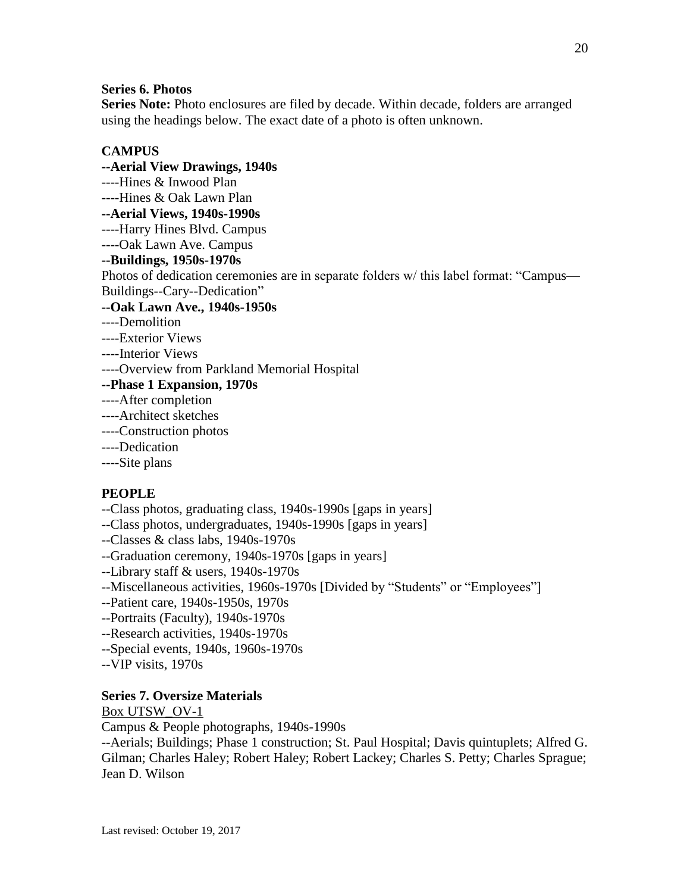#### **Series 6. Photos**

**Series Note:** Photo enclosures are filed by decade. Within decade, folders are arranged using the headings below. The exact date of a photo is often unknown.

#### **CAMPUS**

**--Aerial View Drawings, 1940s** ----Hines & Inwood Plan ----Hines & Oak Lawn Plan **--Aerial Views, 1940s-1990s** ----Harry Hines Blvd. Campus ----Oak Lawn Ave. Campus **--Buildings, 1950s-1970s** Photos of dedication ceremonies are in separate folders w/ this label format: "Campus— Buildings--Cary--Dedication" **--Oak Lawn Ave., 1940s-1950s** ----Demolition ----Exterior Views

- ----Interior Views
- ----Overview from Parkland Memorial Hospital
- **--Phase 1 Expansion, 1970s**
- ----After completion
- ----Architect sketches
- ----Construction photos
- ----Dedication
- ----Site plans

#### **PEOPLE**

- --Class photos, graduating class, 1940s-1990s [gaps in years]
- --Class photos, undergraduates, 1940s-1990s [gaps in years]
- --Classes & class labs, 1940s-1970s
- --Graduation ceremony, 1940s-1970s [gaps in years]
- --Library staff & users, 1940s-1970s
- --Miscellaneous activities, 1960s-1970s [Divided by "Students" or "Employees"]
- --Patient care, 1940s-1950s, 1970s
- --Portraits (Faculty), 1940s-1970s
- --Research activities, 1940s-1970s
- --Special events, 1940s, 1960s-1970s
- --VIP visits, 1970s

#### **Series 7. Oversize Materials**

Box UTSW\_OV-1

Campus & People photographs, 1940s-1990s

--Aerials; Buildings; Phase 1 construction; St. Paul Hospital; Davis quintuplets; Alfred G. Gilman; Charles Haley; Robert Haley; Robert Lackey; Charles S. Petty; Charles Sprague; Jean D. Wilson